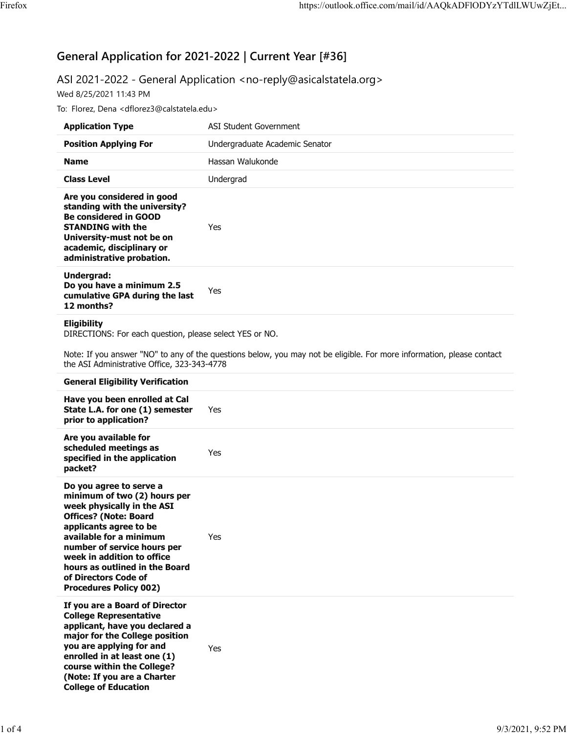# **General Application for 2021-2022 | Current Year [#36]**

## ASI 2021-2022 - General Application <no-reply@asicalstatela.org>

Wed 8/25/2021 11:43 PM

To: Florez, Dena <dflorez3@calstatela.edu>

| <b>Application Type</b>                                                                                                                                                                                        | ASI Student Government         |
|----------------------------------------------------------------------------------------------------------------------------------------------------------------------------------------------------------------|--------------------------------|
| <b>Position Applying For</b>                                                                                                                                                                                   | Undergraduate Academic Senator |
| <b>Name</b>                                                                                                                                                                                                    | Hassan Walukonde               |
| <b>Class Level</b>                                                                                                                                                                                             | Undergrad                      |
| Are you considered in good<br>standing with the university?<br><b>Be considered in GOOD</b><br><b>STANDING with the</b><br>University-must not be on<br>academic, disciplinary or<br>administrative probation. | Yes                            |
| Undergrad:<br>Do you have a minimum 2.5<br>cumulative GPA during the last<br>12 months?                                                                                                                        | <b>Yes</b>                     |

## **Eligibility**

DIRECTIONS: For each question, please select YES or NO.

Note: If you answer "NO" to any of the questions below, you may not be eligible. For more information, please contact the ASI Administrative Office, 323-343-4778

## **General Eligibility Verification**

| Have you been enrolled at Cal<br>State L.A. for one (1) semester<br>prior to application?                                                                                                                                                                                                                                          | Yes |
|------------------------------------------------------------------------------------------------------------------------------------------------------------------------------------------------------------------------------------------------------------------------------------------------------------------------------------|-----|
| Are you available for<br>scheduled meetings as<br>specified in the application<br>packet?                                                                                                                                                                                                                                          | Yes |
| Do you agree to serve a<br>minimum of two (2) hours per<br>week physically in the ASI<br><b>Offices? (Note: Board</b><br>applicants agree to be<br>available for a minimum<br>number of service hours per<br>week in addition to office<br>hours as outlined in the Board<br>of Directors Code of<br><b>Procedures Policy 002)</b> | Yes |
| If you are a Board of Director<br><b>College Representative</b><br>applicant, have you declared a<br>major for the College position<br>you are applying for and<br>enrolled in at least one (1)<br>course within the College?<br>(Note: If you are a Charter<br><b>College of Education</b>                                        | Yes |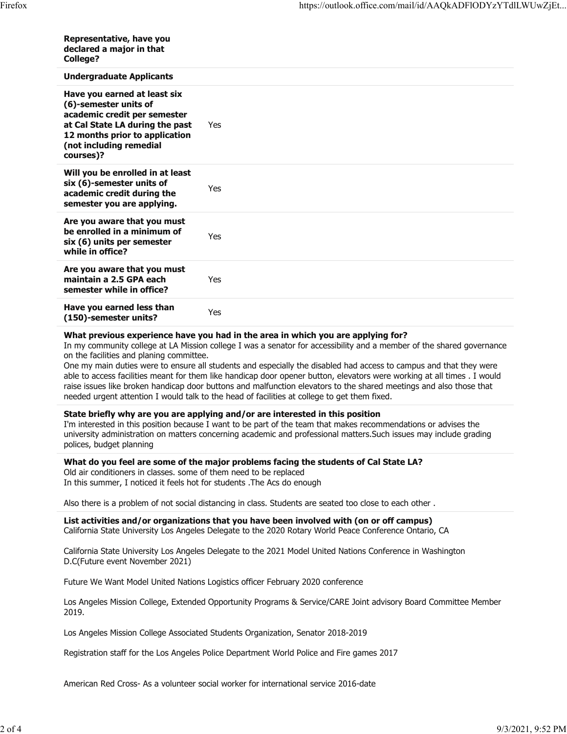| Representative, have you<br>declared a major in that<br>College?                                                                                                                                   |     |
|----------------------------------------------------------------------------------------------------------------------------------------------------------------------------------------------------|-----|
| <b>Undergraduate Applicants</b>                                                                                                                                                                    |     |
| Have you earned at least six<br>(6)-semester units of<br>academic credit per semester<br>at Cal State LA during the past<br>12 months prior to application<br>(not including remedial<br>courses)? | Yes |
| Will you be enrolled in at least<br>six (6)-semester units of<br>academic credit during the<br>semester you are applying.                                                                          | Yes |
| Are you aware that you must<br>be enrolled in a minimum of<br>six (6) units per semester<br>while in office?                                                                                       | Yes |
| Are you aware that you must<br>maintain a 2.5 GPA each<br>semester while in office?                                                                                                                | Yes |
| Have you earned less than<br>(150)-semester units?                                                                                                                                                 | Yes |

## **What previous experience have you had in the area in which you are applying for?**

In my community college at LA Mission college I was a senator for accessibility and a member of the shared governance on the facilities and planing committee.

One my main duties were to ensure all students and especially the disabled had access to campus and that they were able to access facilities meant for them like handicap door opener button, elevators were working at all times . I would raise issues like broken handicap door buttons and malfunction elevators to the shared meetings and also those that needed urgent attention I would talk to the head of facilities at college to get them fixed.

#### **State briefly why are you are applying and/or are interested in this position**

I'm interested in this position because I want to be part of the team that makes recommendations or advises the university administration on matters concerning academic and professional matters.Such issues may include grading polices, budget planning

**What do you feel are some of the major problems facing the students of Cal State LA?**

Old air conditioners in classes. some of them need to be replaced

In this summer, I noticed it feels hot for students .The Acs do enough

Also there is a problem of not social distancing in class. Students are seated too close to each other .

**List activities and/or organizations that you have been involved with (on or off campus)** California State University Los Angeles Delegate to the 2020 Rotary World Peace Conference Ontario, CA

California State University Los Angeles Delegate to the 2021 Model United Nations Conference in Washington D.C(Future event November 2021)

Future We Want Model United Nations Logistics officer February 2020 conference

Los Angeles Mission College, Extended Opportunity Programs & Service/CARE Joint advisory Board Committee Member 2019.

Los Angeles Mission College Associated Students Organization, Senator 2018-2019

Registration staff for the Los Angeles Police Department World Police and Fire games 2017

American Red Cross- As a volunteer social worker for international service 2016-date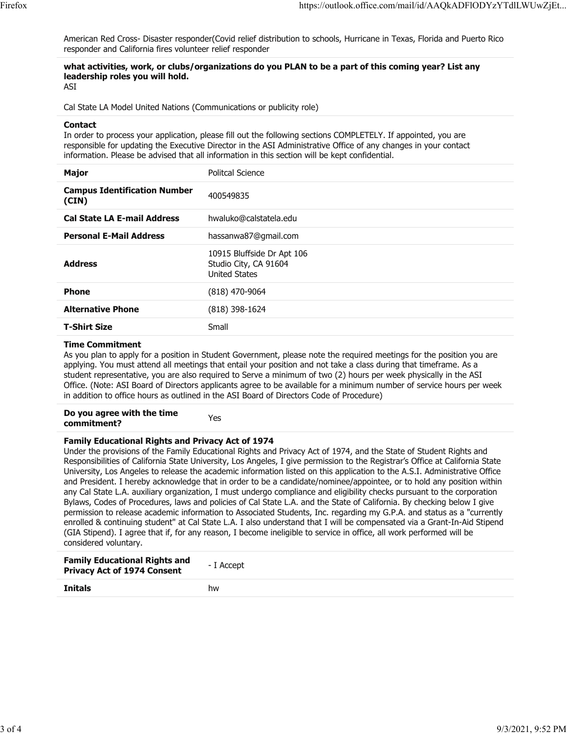American Red Cross- Disaster responder(Covid relief distribution to schools, Hurricane in Texas, Florida and Puerto Rico responder and California fires volunteer relief responder

## **what activities, work, or clubs/organizations do you PLAN to be a part of this coming year? List any leadership roles you will hold.**

ASI

Cal State LA Model United Nations (Communications or publicity role)

## **Contact**

In order to process your application, please fill out the following sections COMPLETELY. If appointed, you are responsible for updating the Executive Director in the ASI Administrative Office of any changes in your contact information. Please be advised that all information in this section will be kept confidential.

| <b>Major</b>                                 | Politcal Science                                                            |
|----------------------------------------------|-----------------------------------------------------------------------------|
| <b>Campus Identification Number</b><br>(CIN) | 400549835                                                                   |
| <b>Cal State LA E-mail Address</b>           | hwaluko@calstatela.edu                                                      |
| <b>Personal E-Mail Address</b>               | hassanwa87@gmail.com                                                        |
| <b>Address</b>                               | 10915 Bluffside Dr Apt 106<br>Studio City, CA 91604<br><b>United States</b> |
| <b>Phone</b>                                 | (818) 470-9064                                                              |
| <b>Alternative Phone</b>                     | (818) 398-1624                                                              |
| <b>T-Shirt Size</b>                          | Small                                                                       |

## **Time Commitment**

As you plan to apply for a position in Student Government, please note the required meetings for the position you are applying. You must attend all meetings that entail your position and not take a class during that timeframe. As a student representative, you are also required to Serve a minimum of two (2) hours per week physically in the ASI Office. (Note: ASI Board of Directors applicants agree to be available for a minimum number of service hours per week in addition to office hours as outlined in the ASI Board of Directors Code of Procedure)

## **Do you agree with the time commitment?** Yes

## **Family Educational Rights and Privacy Act of 1974**

Under the provisions of the Family Educational Rights and Privacy Act of 1974, and the State of Student Rights and Responsibilities of California State University, Los Angeles, I give permission to the Registrar's Office at California State University, Los Angeles to release the academic information listed on this application to the A.S.I. Administrative Office and President. I hereby acknowledge that in order to be a candidate/nominee/appointee, or to hold any position within any Cal State L.A. auxiliary organization, I must undergo compliance and eligibility checks pursuant to the corporation Bylaws, Codes of Procedures, laws and policies of Cal State L.A. and the State of California. By checking below I give permission to release academic information to Associated Students, Inc. regarding my G.P.A. and status as a "currently enrolled & continuing student" at Cal State L.A. I also understand that I will be compensated via a Grant-In-Aid Stipend (GIA Stipend). I agree that if, for any reason, I become ineligible to service in office, all work performed will be considered voluntary.

| <b>Family Educational Rights and</b><br><b>Privacy Act of 1974 Consent</b> | - I Accept |
|----------------------------------------------------------------------------|------------|
| Initals                                                                    | hw         |